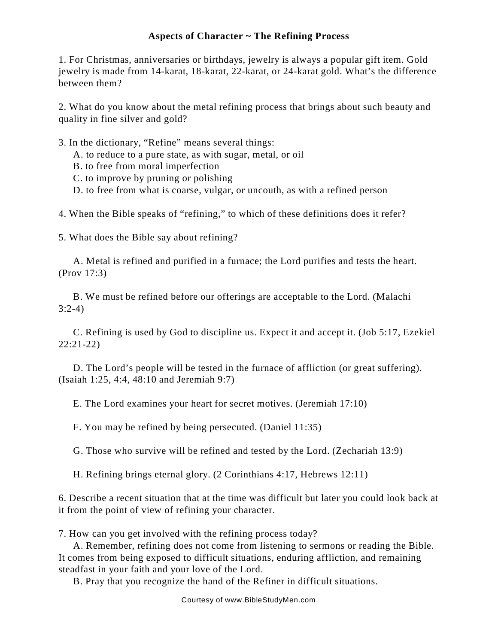## **Aspects of Character ~ The Refining Process**

1. For Christmas, anniversaries or birthdays, jewelry is always a popular gift item. Gold jewelry is made from 14-karat, 18-karat, 22-karat, or 24-karat gold. What's the difference between them?

2. What do you know about the metal refining process that brings about such beauty and quality in fine silver and gold?

- 3. In the dictionary, "Refine" means several things:
	- A. to reduce to a pure state, as with sugar, metal, or oil
	- B. to free from moral imperfection
	- C. to improve by pruning or polishing
	- D. to free from what is coarse, vulgar, or uncouth, as with a refined person

4. When the Bible speaks of "refining," to which of these definitions does it refer?

5. What does the Bible say about refining?

A. Metal is refined and purified in a furnace; the Lord purifies and tests the heart. (Prov 17:3)

B. We must be refined before our offerings are acceptable to the Lord. (Malachi 3:2-4)

C. Refining is used by God to discipline us. Expect it and accept it. (Job 5:17, Ezekiel 22:21-22)

D. The Lord's people will be tested in the furnace of affliction (or great suffering). (Isaiah 1:25, 4:4, 48:10 and Jeremiah 9:7)

E. The Lord examines your heart for secret motives. (Jeremiah 17:10)

F. You may be refined by being persecuted. (Daniel 11:35)

G. Those who survive will be refined and tested by the Lord. (Zechariah 13:9)

H. Refining brings eternal glory. (2 Corinthians 4:17, Hebrews 12:11)

6. Describe a recent situation that at the time was difficult but later you could look back at it from the point of view of refining your character.

7. How can you get involved with the refining process today?

A. Remember, refining does not come from listening to sermons or reading the Bible. It comes from being exposed to difficult situations, enduring affliction, and remaining steadfast in your faith and your love of the Lord.

B. Pray that you recognize the hand of the Refiner in difficult situations.